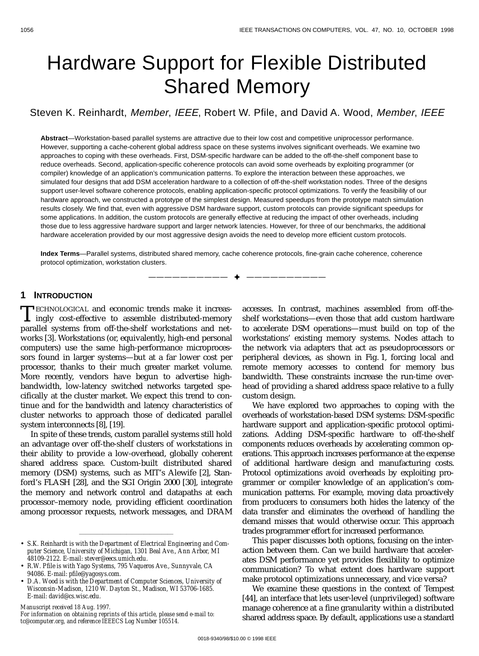# Hardware Support for Flexible Distributed Shared Memory

Steven K. Reinhardt, Member, IEEE, Robert W. Pfile, and David A. Wood, Member, IEEE

**Abstract**—Workstation-based parallel systems are attractive due to their low cost and competitive uniprocessor performance. However, supporting a cache-coherent global address space on these systems involves significant overheads. We examine two approaches to coping with these overheads. First, DSM-specific hardware can be added to the off-the-shelf component base to reduce overheads. Second, application-specific coherence protocols can avoid some overheads by exploiting programmer (or compiler) knowledge of an application's communication patterns. To explore the interaction between these approaches, we simulated four designs that add DSM acceleration hardware to a collection of off-the-shelf workstation nodes. Three of the designs support user-level software coherence protocols, enabling application-specific protocol optimizations. To verify the feasibility of our hardware approach, we constructed a prototype of the simplest design. Measured speedups from the prototype match simulation results closely. We find that, even with aggressive DSM hardware support, custom protocols can provide significant speedups for some applications. In addition, the custom protocols are generally effective at reducing the impact of other overheads, including those due to less aggressive hardware support and larger network latencies. However, for three of our benchmarks, the additional hardware acceleration provided by our most aggressive design avoids the need to develop more efficient custom protocols.

**Index Terms**—Parallel systems, distributed shared memory, cache coherence protocols, fine-grain cache coherence, coherence protocol optimization, workstation clusters.

——————————F——————————

# **1 INTRODUCTION**

ECHNOLOGICAL and economic trends make it increasingly cost-effective to assemble distributed-memory T ECHNOLOGICAL and economic trends make it increasingly cost-effective to assemble distributed-memory<br>parallel systems from off-the-shelf workstations and networks [3]. Workstations (or, equivalently, high-end personal computers) use the same high-performance microprocessors found in larger systems—but at a far lower cost per processor, thanks to their much greater market volume. More recently, vendors have begun to advertise highbandwidth, low-latency switched networks targeted specifically at the cluster market. We expect this trend to continue and for the bandwidth and latency characteristics of cluster networks to approach those of dedicated parallel system interconnects [8], [19].

In spite of these trends, custom parallel systems still hold an advantage over off-the-shelf clusters of workstations in their ability to provide a low-overhead, globally coherent shared address space. Custom-built distributed shared memory (DSM) systems, such as MIT's Alewife [2], Stanford's FLASH [28], and the SGI Origin 2000 [30], integrate the memory and network control and datapaths at each processor–memory node, providing efficient coordination among processor requests, network messages, and DRAM

²²²²²²²²²²²²²²²²

*Manuscript received 18 Aug. 1997.*

*For information on obtaining reprints of this article, please send e-mail to: tc@computer.org, and reference IEEECS Log Number 105514.*

accesses. In contrast, machines assembled from off-theshelf workstations—even those that add custom hardware to accelerate DSM operations—must build on top of the workstations' existing memory systems. Nodes attach to the network via adapters that act as pseudoprocessors or peripheral devices, as shown in Fig. 1, forcing local and remote memory accesses to contend for memory bus bandwidth. These constraints increase the run-time overhead of providing a shared address space relative to a fully custom design.

We have explored two approaches to coping with the overheads of workstation-based DSM systems: DSM-specific hardware support and application-specific protocol optimizations. Adding DSM-specific hardware to off-the-shelf components reduces overheads by accelerating common operations. This approach increases performance at the expense of additional hardware design and manufacturing costs. Protocol optimizations avoid overheads by exploiting programmer or compiler knowledge of an application's communication patterns. For example, moving data proactively from producers to consumers both hides the latency of the data transfer and eliminates the overhead of handling the demand misses that would otherwise occur. This approach trades programmer effort for increased performance.

This paper discusses both options, focusing on the interaction between them. Can we build hardware that accelerates DSM performance yet provides flexibility to optimize communication? To what extent does hardware support make protocol optimizations unnecessary, and vice versa?

We examine these questions in the context of Tempest [44], an interface that lets user-level (unprivileged) software manage coherence at a fine granularity within a distributed shared address space. By default, applications use a standard

<sup>•</sup> *S.K. Reinhardt is with the Department of Electrical Engineering and Computer Science, University of Michigan, 1301 Beal Ave., Ann Arbor, MI 48109-2122. E-mail: stever@eecs.umich.edu.*

<sup>•</sup> *R.W. Pfile is with Yago Systems, 795 Vaqueros Ave., Sunnyvale, CA 94086. E-mail: pfile@yagosys.com.*

<sup>•</sup> *D.A. Wood is with the Department of Computer Sciences, University of Wisconsin-Madison, 1210 W. Dayton St., Madison, WI 53706-1685. E-mail: david@cs.wisc.edu.*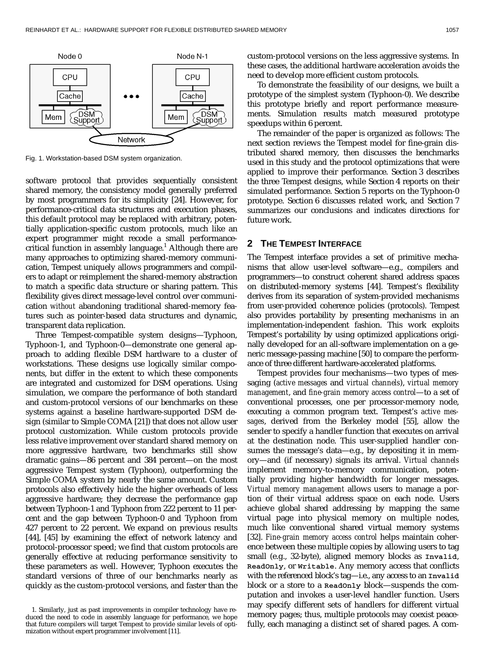

Fig. 1. Workstation-based DSM system organization.

software protocol that provides sequentially consistent shared memory, the consistency model generally preferred by most programmers for its simplicity [24]. However, for performance-critical data structures and execution phases, this default protocol may be replaced with arbitrary, potentially application-specific custom protocols, much like an expert programmer might recode a small performancecritical function in assembly language.<sup>1</sup> Although there are many approaches to optimizing shared-memory communication, Tempest uniquely allows programmers and compilers to adapt or reimplement the shared-memory abstraction to match a specific data structure or sharing pattern. This flexibility gives direct message-level control over communication *without* abandoning traditional shared-memory features such as pointer-based data structures and dynamic, transparent data replication.

Three Tempest-compatible system designs—Typhoon, Typhoon-1, and Typhoon-0—demonstrate one general approach to adding flexible DSM hardware to a cluster of workstations. These designs use logically similar components, but differ in the extent to which these components are integrated and customized for DSM operations. Using simulation, we compare the performance of both standard and custom-protocol versions of our benchmarks on these systems against a baseline hardware-supported DSM design (similar to Simple COMA [21]) that does not allow user protocol customization. While custom protocols provide less relative improvement over standard shared memory on more aggressive hardware, two benchmarks still show dramatic gains—86 percent and 384 percent—on the most aggressive Tempest system (Typhoon), outperforming the Simple COMA system by nearly the same amount. Custom protocols also effectively hide the higher overheads of less aggressive hardware; they decrease the performance gap between Typhoon-1 and Typhoon from 222 percent to 11 percent and the gap between Typhoon-0 and Typhoon from 427 percent to 22 percent. We expand on previous results [44], [45] by examining the effect of network latency and protocol-processor speed; we find that custom protocols are generally effective at reducing performance sensitivity to these parameters as well. However, Typhoon executes the standard versions of three of our benchmarks nearly as quickly as the custom-protocol versions, and faster than the custom-protocol versions on the less aggressive systems. In these cases, the additional hardware acceleration avoids the need to develop more efficient custom protocols.

To demonstrate the feasibility of our designs, we built a prototype of the simplest system (Typhoon-0). We describe this prototype briefly and report performance measurements. Simulation results match measured prototype speedups within 6 percent.

The remainder of the paper is organized as follows: The next section reviews the Tempest model for fine-grain distributed shared memory, then discusses the benchmarks used in this study and the protocol optimizations that were applied to improve their performance. Section 3 describes the three Tempest designs, while Section 4 reports on their simulated performance. Section 5 reports on the Typhoon-0 prototype. Section 6 discusses related work, and Section 7 summarizes our conclusions and indicates directions for future work.

# **2 THE TEMPEST INTERFACE**

The Tempest interface provides a set of primitive mechanisms that allow user-level software—e.g., compilers and programmers—to construct coherent shared address spaces on distributed-memory systems [44]. Tempest's flexibility derives from its separation of system-provided mechanisms from user-provided coherence policies (protocols). Tempest also provides portability by presenting mechanisms in an implementation-independent fashion. This work exploits Tempest's portability by using optimized applications originally developed for an all-software implementation on a generic message-passing machine [50] to compare the performance of three different hardware-accelerated platforms.

Tempest provides four mechanisms—two types of messaging (*active messages* and *virtual channels*), *virtual memory management*, and *fine-grain memory access control*—to a set of conventional processes, one per processor-memory node, executing a common program text. Tempest's *active messages*, derived from the Berkeley model [55], allow the sender to specify a handler function that executes on arrival at the destination node. This user-supplied handler consumes the message's data—e.g., by depositing it in memory—and (if necessary) signals its arrival. *Virtual channels* implement memory-to-memory communication, potentially providing higher bandwidth for longer messages. *Virtual memory management* allows users to manage a portion of their virtual address space on each node. Users achieve global shared addressing by mapping the same virtual page into physical memory on multiple nodes, much like conventional shared virtual memory systems [32]. *Fine-grain memory access control* helps maintain coherence between these multiple copies by allowing users to tag small (e.g., 32-byte), aligned memory blocks as Invalid, ReadOnly, or Writable. Any memory access that conflicts with the referenced block's tag—i.e., any access to an Invalid block or a store to a ReadOnly block—suspends the computation and invokes a user-level handler function. Users may specify different sets of handlers for different virtual memory pages; thus, multiple protocols may coexist peacefully, each managing a distinct set of shared pages. A com-

<sup>1.</sup> Similarly, just as past improvements in compiler technology have reduced the need to code in assembly language for performance, we hope that future compilers will target Tempest to provide similar levels of optimization without expert programmer involvement [11].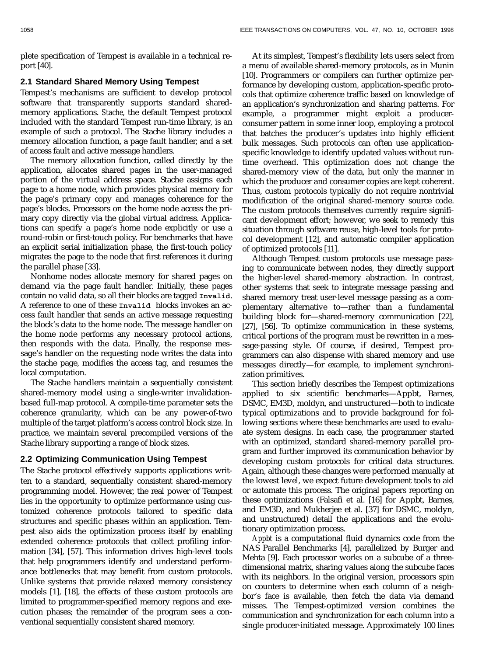plete specification of Tempest is available in a technical report [40].

# **2.1 Standard Shared Memory Using Tempest**

Tempest's mechanisms are sufficient to develop protocol software that transparently supports standard sharedmemory applications. *Stache*, the default Tempest protocol included with the standard Tempest run-time library, is an example of such a protocol. The Stache library includes a memory allocation function, a page fault handler, and a set of access fault and active message handlers.

The memory allocation function, called directly by the application, allocates shared pages in the user-managed portion of the virtual address space. Stache assigns each page to a home node, which provides physical memory for the page's primary copy and manages coherence for the page's blocks. Processors on the home node access the primary copy directly via the global virtual address. Applications can specify a page's home node explicitly or use a round-robin or first-touch policy. For benchmarks that have an explicit serial initialization phase, the first-touch policy migrates the page to the node that first references it during the parallel phase [33].

Nonhome nodes allocate memory for shared pages on demand via the page fault handler. Initially, these pages contain no valid data, so all their blocks are tagged Invalid. A reference to one of these Invalid blocks invokes an access fault handler that sends an active message requesting the block's data to the home node. The message handler on the home node performs any necessary protocol actions, then responds with the data. Finally, the response message's handler on the requesting node writes the data into the stache page, modifies the access tag, and resumes the local computation.

The Stache handlers maintain a sequentially consistent shared-memory model using a single-writer invalidationbased full-map protocol. A compile-time parameter sets the coherence granularity, which can be any power-of-two multiple of the target platform's access control block size. In practice, we maintain several precompiled versions of the Stache library supporting a range of block sizes.

# **2.2 Optimizing Communication Using Tempest**

The Stache protocol effectively supports applications written to a standard, sequentially consistent shared-memory programming model. However, the real power of Tempest lies in the opportunity to optimize performance using customized coherence protocols tailored to specific data structures and specific phases within an application. Tempest also aids the optimization process itself by enabling extended coherence protocols that collect profiling information [34], [57]. This information drives high-level tools that help programmers identify and understand performance bottlenecks that may benefit from custom protocols. Unlike systems that provide relaxed memory consistency models [1], [18], the effects of these custom protocols are limited to programmer-specified memory regions and execution phases; the remainder of the program sees a conventional sequentially consistent shared memory.

At its simplest, Tempest's flexibility lets users select from a menu of available shared-memory protocols, as in Munin [10]. Programmers or compilers can further optimize performance by developing custom, application-specific protocols that optimize coherence traffic based on knowledge of an application's synchronization and sharing patterns. For example, a programmer might exploit a producerconsumer pattern in some inner loop, employing a protocol that batches the producer's updates into highly efficient bulk messages. Such protocols can often use applicationspecific knowledge to identify updated values without runtime overhead. This optimization does not change the shared-memory view of the data, but only the manner in which the producer and consumer copies are kept coherent. Thus, custom protocols typically do not require nontrivial modification of the original shared-memory source code. The custom protocols themselves currently require significant development effort; however, we seek to remedy this situation through software reuse, high-level tools for protocol development [12], and automatic compiler application of optimized protocols [11].

Although Tempest custom protocols use message passing to communicate between nodes, they directly support the higher-level shared-memory abstraction. In contrast, other systems that seek to integrate message passing and shared memory treat user-level message passing as a complementary alternative to—rather than a fundamental building block for—shared-memory communication [22], [27], [56]. To optimize communication in these systems, critical portions of the program must be rewritten in a message-passing style. Of course, if desired, Tempest programmers can also dispense with shared memory and use messages directly—for example, to implement synchronization primitives.

This section briefly describes the Tempest optimizations applied to six scientific benchmarks—Appbt, Barnes, DSMC, EM3D, moldyn, and unstructured—both to indicate typical optimizations and to provide background for following sections where these benchmarks are used to evaluate system designs. In each case, the programmer started with an optimized, standard shared-memory parallel program and further improved its communication behavior by developing custom protocols for critical data structures. Again, although these changes were performed manually at the lowest level, we expect future development tools to aid or automate this process. The original papers reporting on these optimizations (Falsafi et al. [16] for Appbt, Barnes, and EM3D, and Mukherjee et al. [37] for DSMC, moldyn, and unstructured) detail the applications and the evolutionary optimization process.

*Appbt* is a computational fluid dynamics code from the NAS Parallel Benchmarks [4], parallelized by Burger and Mehta [9]. Each processor works on a subcube of a threedimensional matrix, sharing values along the subcube faces with its neighbors. In the original version, processors spin on counters to determine when each column of a neighbor's face is available, then fetch the data via demand misses. The Tempest-optimized version combines the communication and synchronization for each column into a single producer-initiated message. Approximately 100 lines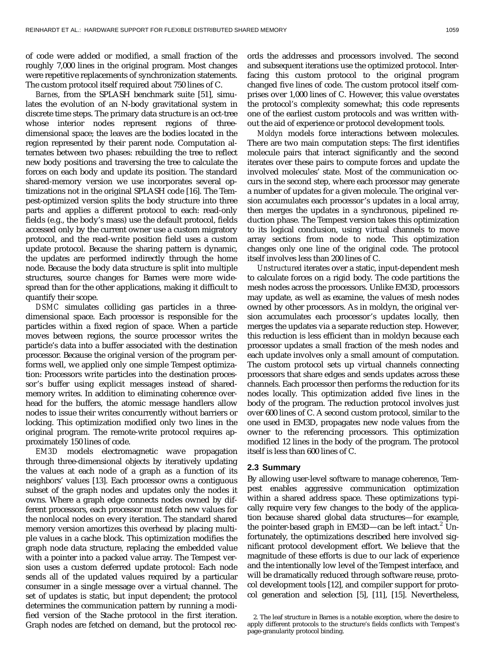of code were added or modified, a small fraction of the roughly 7,000 lines in the original program. Most changes were repetitive replacements of synchronization statements. The custom protocol itself required about 750 lines of C.

*Barnes*, from the SPLASH benchmark suite [51], simulates the evolution of an N-body gravitational system in discrete time steps. The primary data structure is an oct-tree whose interior nodes represent regions of threedimensional space; the leaves are the bodies located in the region represented by their parent node. Computation alternates between two phases: rebuilding the tree to reflect new body positions and traversing the tree to calculate the forces on each body and update its position. The standard shared-memory version we use incorporates several optimizations not in the original SPLASH code [16]. The Tempest-optimized version splits the body structure into three parts and applies a different protocol to each: read-only fields (e.g., the body's mass) use the default protocol, fields accessed only by the current owner use a custom migratory protocol, and the read-write position field uses a custom update protocol. Because the sharing pattern is dynamic, the updates are performed indirectly through the home node. Because the body data structure is split into multiple structures, source changes for Barnes were more widespread than for the other applications, making it difficult to quantify their scope.

*DSMC* simulates colliding gas particles in a threedimensional space. Each processor is responsible for the particles within a fixed region of space. When a particle moves between regions, the source processor writes the particle's data into a buffer associated with the destination processor. Because the original version of the program performs well, we applied only one simple Tempest optimization: Processors write particles into the destination processor's buffer using explicit messages instead of sharedmemory writes. In addition to eliminating coherence overhead for the buffers, the atomic message handlers allow nodes to issue their writes concurrently without barriers or locking. This optimization modified only two lines in the original program. The remote-write protocol requires approximately 150 lines of code.

*EM3D* models electromagnetic wave propagation through three-dimensional objects by iteratively updating the values at each node of a graph as a function of its neighbors' values [13]. Each processor owns a contiguous subset of the graph nodes and updates only the nodes it owns. Where a graph edge connects nodes owned by different processors, each processor must fetch new values for the nonlocal nodes on every iteration. The standard shared memory version amortizes this overhead by placing multiple values in a cache block. This optimization modifies the graph node data structure, replacing the embedded value with a pointer into a packed value array. The Tempest version uses a custom deferred update protocol: Each node sends all of the updated values required by a particular consumer in a single message over a virtual channel. The set of updates is static, but input dependent; the protocol determines the communication pattern by running a modified version of the Stache protocol in the first iteration. Graph nodes are fetched on demand, but the protocol records the addresses and processors involved. The second and subsequent iterations use the optimized protocol. Interfacing this custom protocol to the original program changed five lines of code. The custom protocol itself comprises over 1,000 lines of C. However, this value overstates the protocol's complexity somewhat; this code represents one of the earliest custom protocols and was written without the aid of experience or protocol development tools.

*Moldyn* models force interactions between molecules. There are two main computation steps: The first identifies molecule pairs that interact significantly and the second iterates over these pairs to compute forces and update the involved molecules' state. Most of the communication occurs in the second step, where each processor may generate a number of updates for a given molecule. The original version accumulates each processor's updates in a local array, then merges the updates in a synchronous, pipelined reduction phase. The Tempest version takes this optimization to its logical conclusion, using virtual channels to move array sections from node to node. This optimization changes only one line of the original code. The protocol itself involves less than 200 lines of C.

*Unstructured* iterates over a static, input-dependent mesh to calculate forces on a rigid body. The code partitions the mesh nodes across the processors. Unlike EM3D, processors may update, as well as examine, the values of mesh nodes owned by other processors. As in moldyn, the original version accumulates each processor's updates locally, then merges the updates via a separate reduction step. However, this reduction is less efficient than in moldyn because each processor updates a small fraction of the mesh nodes and each update involves only a small amount of computation. The custom protocol sets up virtual channels connecting processors that share edges and sends updates across these channels. Each processor then performs the reduction for its nodes locally. This optimization added five lines in the body of the program. The reduction protocol involves just over 600 lines of C. A second custom protocol, similar to the one used in EM3D, propagates new node values from the owner to the referencing processors. This optimization modified 12 lines in the body of the program. The protocol itself is less than 600 lines of C.

# **2.3 Summary**

By allowing user-level software to manage coherence, Tempest enables aggressive communication optimization within a shared address space. These optimizations typically require very few changes to the body of the application because shared global data structures—for example, the pointer-based graph in EM3D-can be left intact.<sup>2</sup> Unfortunately, the optimizations described here involved significant protocol development effort. We believe that the magnitude of these efforts is due to our lack of experience and the intentionally low level of the Tempest interface, and will be dramatically reduced through software reuse, protocol development tools [12], and compiler support for protocol generation and selection [5], [11], [15]. Nevertheless,

<sup>2.</sup> The leaf structure in Barnes is a notable exception, where the desire to apply different protocols to the structure's fields conflicts with Tempest's page-granularity protocol binding.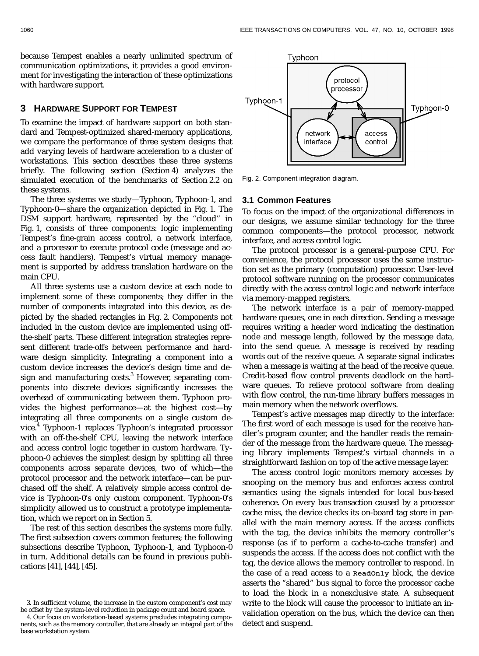because Tempest enables a nearly unlimited spectrum of communication optimizations, it provides a good environment for investigating the interaction of these optimizations with hardware support.

## **3 HARDWARE SUPPORT FOR TEMPEST**

To examine the impact of hardware support on both standard and Tempest-optimized shared-memory applications, we compare the performance of three system designs that add varying levels of hardware acceleration to a cluster of workstations. This section describes these three systems briefly. The following section (Section 4) analyzes the simulated execution of the benchmarks of Section 2.2 on these systems.

The three systems we study—Typhoon, Typhoon-1, and Typhoon-0—share the organization depicted in Fig. 1. The DSM support hardware, represented by the "cloud" in Fig. 1, consists of three components: logic implementing Tempest's fine-grain access control, a network interface, and a processor to execute protocol code (message and access fault handlers). Tempest's virtual memory management is supported by address translation hardware on the main CPU.

All three systems use a custom device at each node to implement some of these components; they differ in the number of components integrated into this device, as depicted by the shaded rectangles in Fig. 2. Components not included in the custom device are implemented using offthe-shelf parts. These different integration strategies represent different trade-offs between performance and hardware design simplicity. Integrating a component into a custom device increases the device's design time and design and manufacturing costs.<sup>3</sup> However, separating components into discrete devices significantly increases the overhead of communicating between them. Typhoon provides the highest performance—at the highest cost—by integrating all three components on a single custom device.<sup>4</sup> Typhoon-1 replaces Typhoon's integrated processor with an off-the-shelf CPU, leaving the network interface and access control logic together in custom hardware. Typhoon-0 achieves the simplest design by splitting all three components across separate devices, two of which—the protocol processor and the network interface—can be purchased off the shelf. A relatively simple access control device is Typhoon-0's only custom component. Typhoon-0's simplicity allowed us to construct a prototype implementation, which we report on in Section 5.

The rest of this section describes the systems more fully. The first subsection covers common features; the following subsections describe Typhoon, Typhoon-1, and Typhoon-0 in turn. Additional details can be found in previous publications [41], [44], [45].



Fig. 2. Component integration diagram.

## **3.1 Common Features**

To focus on the impact of the organizational differences in our designs, we assume similar technology for the three common components—the protocol processor, network interface, and access control logic.

The protocol processor is a general-purpose CPU. For convenience, the protocol processor uses the same instruction set as the primary (computation) processor. User-level protocol software running on the processor communicates directly with the access control logic and network interface via memory-mapped registers.

The network interface is a pair of memory-mapped hardware queues, one in each direction. Sending a message requires writing a header word indicating the destination node and message length, followed by the message data, into the send queue. A message is received by reading words out of the receive queue. A separate signal indicates when a message is waiting at the head of the receive queue. Credit-based flow control prevents deadlock on the hardware queues. To relieve protocol software from dealing with flow control, the run-time library buffers messages in main memory when the network overflows.

Tempest's active messages map directly to the interface: The first word of each message is used for the receive handler's program counter, and the handler reads the remainder of the message from the hardware queue. The messaging library implements Tempest's virtual channels in a straightforward fashion on top of the active message layer.

The access control logic monitors memory accesses by snooping on the memory bus and enforces access control semantics using the signals intended for local bus-based coherence. On every bus transaction caused by a processor cache miss, the device checks its on-board tag store in parallel with the main memory access. If the access conflicts with the tag, the device inhibits the memory controller's response (as if to perform a cache-to-cache transfer) and suspends the access. If the access does not conflict with the tag, the device allows the memory controller to respond. In the case of a read access to a ReadOnly block, the device asserts the "shared" bus signal to force the processor cache to load the block in a nonexclusive state. A subsequent write to the block will cause the processor to initiate an invalidation operation on the bus, which the device can then detect and suspend.

<sup>3.</sup> In sufficient volume, the increase in the custom component's cost may be offset by the system-level reduction in package count and board space.

<sup>4.</sup> Our focus on workstation-based systems precludes integrating components, such as the memory controller, that are already an integral part of the base workstation system.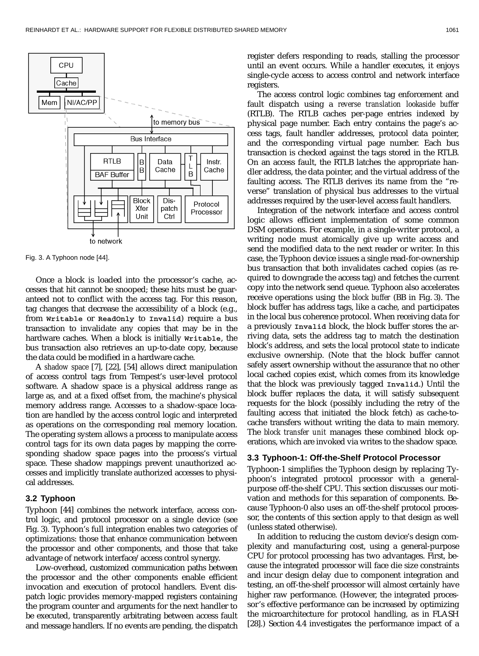

Fig. 3. A Typhoon node [44].

Once a block is loaded into the processor's cache, accesses that hit cannot be snooped; these hits must be guaranteed not to conflict with the access tag. For this reason, tag changes that decrease the accessibility of a block (e.g., from Writable or ReadOnly to Invalid) require a bus transaction to invalidate any copies that may be in the hardware caches. When a block is initially Writable, the bus transaction also retrieves an up-to-date copy, because the data could be modified in a hardware cache.

A *shadow space* [7], [22], [54] allows direct manipulation of access control tags from Tempest's user-level protocol software. A shadow space is a physical address range as large as, and at a fixed offset from, the machine's physical memory address range. Accesses to a shadow-space location are handled by the access control logic and interpreted as operations on the corresponding real memory location. The operating system allows a process to manipulate access control tags for its own data pages by mapping the corresponding shadow space pages into the process's virtual space. These shadow mappings prevent unauthorized accesses and implicitly translate authorized accesses to physical addresses.

## **3.2 Typhoon**

Typhoon [44] combines the network interface, access control logic, and protocol processor on a single device (see Fig. 3). Typhoon's full integration enables two categories of optimizations: those that enhance communication between the processor and other components, and those that take advantage of network interface/access control synergy.

Low-overhead, customized communication paths between the processor and the other components enable efficient invocation and execution of protocol handlers. Event dispatch logic provides memory-mapped registers containing the program counter and arguments for the next handler to be executed, transparently arbitrating between access fault and message handlers. If no events are pending, the dispatch register defers responding to reads, stalling the processor until an event occurs. While a handler executes, it enjoys single-cycle access to access control and network interface registers.

The access control logic combines tag enforcement and fault dispatch using a *reverse translation lookaside buffer* (RTLB). The RTLB caches per-page entries indexed by physical page number. Each entry contains the page's access tags, fault handler addresses, protocol data pointer, and the corresponding virtual page number. Each bus transaction is checked against the tags stored in the RTLB. On an access fault, the RTLB latches the appropriate handler address, the data pointer, and the virtual address of the faulting access. The RTLB derives its name from the "reverse" translation of physical bus addresses to the virtual addresses required by the user-level access fault handlers.

Integration of the network interface and access control logic allows efficient implementation of some common DSM operations. For example, in a single-writer protocol, a writing node must atomically give up write access and send the modified data to the next reader or writer. In this case, the Typhoon device issues a single read-for-ownership bus transaction that both invalidates cached copies (as required to downgrade the access tag) and fetches the current copy into the network send queue. Typhoon also accelerates receive operations using the *block buffer* (BB in Fig. 3). The block buffer has address tags, like a cache, and participates in the local bus coherence protocol. When receiving data for a previously Invalid block, the block buffer stores the arriving data, sets the address tag to match the destination block's address, and sets the local protocol state to indicate exclusive ownership. (Note that the block buffer cannot safely assert ownership without the assurance that no other local cached copies exist, which comes from its knowledge that the block was previously tagged Invalid.) Until the block buffer replaces the data, it will satisfy subsequent requests for the block (possibly including the retry of the faulting access that initiated the block fetch) as cache-tocache transfers without writing the data to main memory. The *block transfer unit* manages these combined block operations, which are invoked via writes to the shadow space.

## **3.3 Typhoon-1: Off-the-Shelf Protocol Processor**

Typhoon-1 simplifies the Typhoon design by replacing Typhoon's integrated protocol processor with a generalpurpose off-the-shelf CPU. This section discusses our motivation and methods for this separation of components. Because Typhoon-0 also uses an off-the-shelf protocol processor, the contents of this section apply to that design as well (unless stated otherwise).

In addition to reducing the custom device's design complexity and manufacturing cost, using a general-purpose CPU for protocol processing has two advantages. First, because the integrated processor will face die size constraints and incur design delay due to component integration and testing, an off-the-shelf processor will almost certainly have higher raw performance. (However, the integrated processor's effective performance can be increased by optimizing the microarchitecture for protocol handling, as in FLASH [28].) Section 4.4 investigates the performance impact of a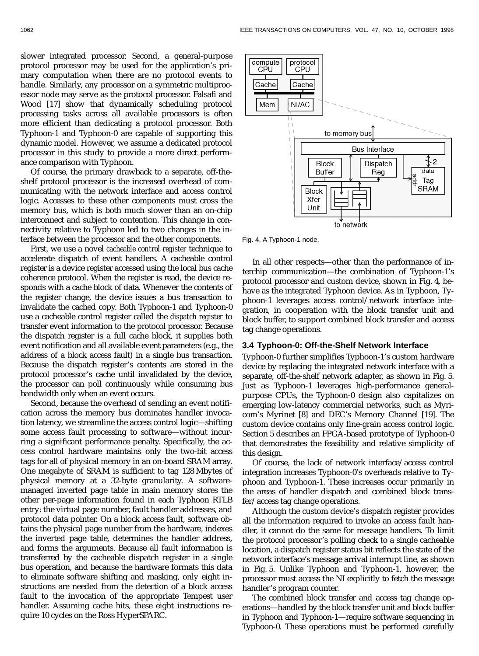slower integrated processor. Second, a general-purpose protocol processor may be used for the application's primary computation when there are no protocol events to handle. Similarly, any processor on a symmetric multiprocessor node may serve as the protocol processor. Falsafi and Wood [17] show that dynamically scheduling protocol processing tasks across all available processors is often more efficient than dedicating a protocol processor. Both Typhoon-1 and Typhoon-0 are capable of supporting this dynamic model. However, we assume a dedicated protocol processor in this study to provide a more direct performance comparison with Typhoon.

Of course, the primary drawback to a separate, off-theshelf protocol processor is the increased overhead of communicating with the network interface and access control logic. Accesses to these other components must cross the memory bus, which is both much slower than an on-chip interconnect and subject to contention. This change in connectivity relative to Typhoon led to two changes in the interface between the processor and the other components.

First, we use a novel *cacheable control register* technique to accelerate dispatch of event handlers. A cacheable control register is a device register accessed using the local bus cache coherence protocol. When the register is read, the device responds with a cache block of data. Whenever the contents of the register change, the device issues a bus transaction to invalidate the cached copy. Both Typhoon-1 and Typhoon-0 use a cacheable control register called the *dispatch register* to transfer event information to the protocol processor. Because the dispatch register is a full cache block, it supplies both event notification and all available event parameters (e.g., the address of a block access fault) in a single bus transaction. Because the dispatch register's contents are stored in the protocol processor's cache until invalidated by the device, the processor can poll continuously while consuming bus bandwidth only when an event occurs.

Second, because the overhead of sending an event notification across the memory bus dominates handler invocation latency, we streamline the access control logic—shifting some access fault processing to software—without incurring a significant performance penalty. Specifically, the access control hardware maintains only the two-bit access tags for all of physical memory in an on-board SRAM array. One megabyte of SRAM is sufficient to tag 128 Mbytes of physical memory at a 32-byte granularity. A softwaremanaged inverted page table in main memory stores the other per-page information found in each Typhoon RTLB entry: the virtual page number, fault handler addresses, and protocol data pointer. On a block access fault, software obtains the physical page number from the hardware, indexes the inverted page table, determines the handler address, and forms the arguments. Because all fault information is transferred by the cacheable dispatch register in a single bus operation, and because the hardware formats this data to eliminate software shifting and masking, only eight instructions are needed from the detection of a block access fault to the invocation of the appropriate Tempest user handler. Assuming cache hits, these eight instructions require 10 cycles on the Ross HyperSPARC.



Fig. 4. A Typhoon-1 node.

In all other respects—other than the performance of interchip communication—the combination of Typhoon-1's protocol processor and custom device, shown in Fig. 4, behave as the integrated Typhoon device. As in Typhoon, Typhoon-1 leverages access control/network interface integration, in cooperation with the block transfer unit and block buffer, to support combined block transfer and access tag change operations.

## **3.4 Typhoon-0: Off-the-Shelf Network Interface**

Typhoon-0 further simplifies Typhoon-1's custom hardware device by replacing the integrated network interface with a separate, off-the-shelf network adapter, as shown in Fig. 5. Just as Typhoon-1 leverages high-performance generalpurpose CPUs, the Typhoon-0 design also capitalizes on emerging low-latency commercial networks, such as Myricom's Myrinet [8] and DEC's Memory Channel [19]. The custom device contains only fine-grain access control logic. Section 5 describes an FPGA-based prototype of Typhoon-0 that demonstrates the feasibility and relative simplicity of this design.

Of course, the lack of network interface/access control integration increases Typhoon-0's overheads relative to Typhoon and Typhoon-1. These increases occur primarily in the areas of handler dispatch and combined block transfer/access tag change operations.

Although the custom device's dispatch register provides all the information required to invoke an access fault handler, it cannot do the same for message handlers. To limit the protocol processor's polling check to a single cacheable location, a dispatch register status bit reflects the state of the network interface's message arrival interrupt line, as shown in Fig. 5. Unlike Typhoon and Typhoon-1, however, the processor must access the NI explicitly to fetch the message handler's program counter.

The combined block transfer and access tag change operations—handled by the block transfer unit and block buffer in Typhoon and Typhoon-1—require software sequencing in Typhoon-0. These operations must be performed carefully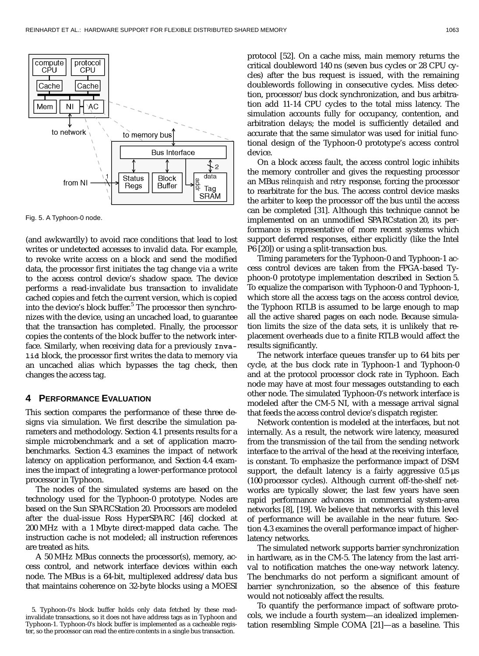

Fig. 5. A Typhoon-0 node.

(and awkwardly) to avoid race conditions that lead to lost writes or undetected accesses to invalid data. For example, to revoke write access on a block and send the modified data, the processor first initiates the tag change via a write to the access control device's shadow space. The device performs a read-invalidate bus transaction to invalidate cached copies and fetch the current version, which is copied into the device's block buffer.<sup>5</sup> The processor then synchronizes with the device, using an uncached load, to guarantee that the transaction has completed. Finally, the processor copies the contents of the block buffer to the network interface. Similarly, when receiving data for a previously Invalid block, the processor first writes the data to memory via an uncached alias which bypasses the tag check, then changes the access tag.

# **4 PERFORMANCE EVALUATION**

This section compares the performance of these three designs via simulation. We first describe the simulation parameters and methodology. Section 4.1 presents results for a simple microbenchmark and a set of application macrobenchmarks. Section 4.3 examines the impact of network latency on application performance, and Section 4.4 examines the impact of integrating a lower-performance protocol processor in Typhoon.

The nodes of the simulated systems are based on the technology used for the Typhoon-0 prototype. Nodes are based on the Sun SPARCStation 20. Processors are modeled after the dual-issue Ross HyperSPARC [46] clocked at 200 MHz with a 1 Mbyte direct-mapped data cache. The instruction cache is not modeled; all instruction references are treated as hits.

A 50 MHz MBus connects the processor(s), memory, access control, and network interface devices within each node. The MBus is a 64-bit, multiplexed address/data bus that maintains coherence on 32-byte blocks using a MOESI

5. Typhoon-0's block buffer holds only data fetched by these readinvalidate transactions, so it does not have address tags as in Typhoon and Typhoon-1. Typhoon-0's block buffer is implemented as a cacheable register, so the processor can read the entire contents in a single bus transaction.

protocol [52]. On a cache miss, main memory returns the critical doubleword 140 ns (seven bus cycles or 28 CPU cycles) after the bus request is issued, with the remaining doublewords following in consecutive cycles. Miss detection, processor/bus clock synchronization, and bus arbitration add 11-14 CPU cycles to the total miss latency. The simulation accounts fully for occupancy, contention, and arbitration delays; the model is sufficiently detailed and accurate that the same simulator was used for initial functional design of the Typhoon-0 prototype's access control device.

On a block access fault, the access control logic inhibits the memory controller and gives the requesting processor an MBus *relinquish and retry* response, forcing the processor to rearbitrate for the bus. The access control device masks the arbiter to keep the processor off the bus until the access can be completed [31]. Although this technique cannot be implemented on an unmodified SPARCstation 20, its performance is representative of more recent systems which support deferred responses, either explicitly (like the Intel P6 [20]) or using a split-transaction bus.

Timing parameters for the Typhoon-0 and Typhoon-1 access control devices are taken from the FPGA-based Typhoon-0 prototype implementation described in Section 5. To equalize the comparison with Typhoon-0 and Typhoon-1, which store all the access tags on the access control device, the Typhoon RTLB is assumed to be large enough to map all the active shared pages on each node. Because simulation limits the size of the data sets, it is unlikely that replacement overheads due to a finite RTLB would affect the results significantly.

The network interface queues transfer up to 64 bits per cycle, at the bus clock rate in Typhoon-1 and Typhoon-0 and at the protocol processor clock rate in Typhoon. Each node may have at most four messages outstanding to each other node. The simulated Typhoon-0's network interface is modeled after the CM-5 NI, with a message arrival signal that feeds the access control device's dispatch register.

Network contention is modeled at the interfaces, but not internally. As a result, the network wire latency, measured from the transmission of the tail from the sending network interface to the arrival of the head at the receiving interface, is constant. To emphasize the performance impact of DSM support, the default latency is a fairly aggressive 0.5 µs (100 processor cycles). Although current off-the-shelf networks are typically slower, the last few years have seen rapid performance advances in commercial system-area networks [8], [19]. We believe that networks with this level of performance will be available in the near future. Section 4.3 examines the overall performance impact of higherlatency networks.

The simulated network supports barrier synchronization in hardware, as in the CM-5. The latency from the last arrival to notification matches the one-way network latency. The benchmarks do not perform a significant amount of barrier synchronization, so the absence of this feature would not noticeably affect the results.

To quantify the performance impact of software protocols, we include a fourth system—an idealized implementation resembling Simple COMA [21]—as a baseline. This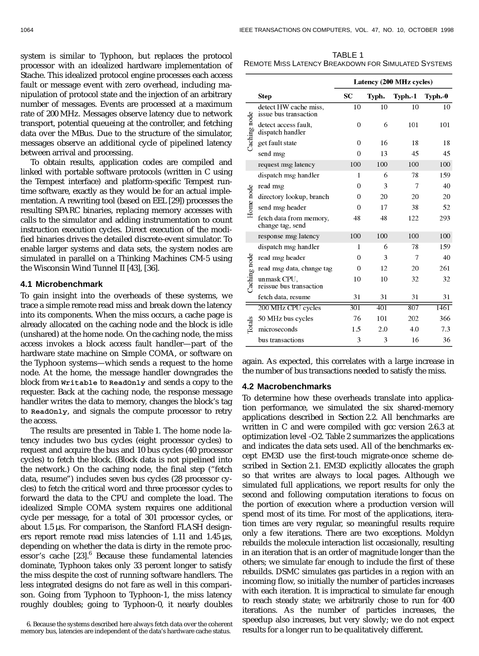system is similar to Typhoon, but replaces the protocol processor with an idealized hardware implementation of Stache. This idealized protocol engine processes each access fault or message event with zero overhead, including manipulation of protocol state and the injection of an arbitrary number of messages. Events are processed at a maximum rate of 200 MHz. Messages observe latency due to network transport, potential queueing at the controller, and fetching data over the MBus. Due to the structure of the simulator, messages observe an additional cycle of pipelined latency between arrival and processing.

To obtain results, application codes are compiled and linked with portable software protocols (written in C using the Tempest interface) and platform-specific Tempest runtime software, exactly as they would be for an actual implementation. A rewriting tool (based on EEL [29]) processes the resulting SPARC binaries, replacing memory accesses with calls to the simulator and adding instrumentation to count instruction execution cycles. Direct execution of the modified binaries drives the detailed discrete-event simulator. To enable larger systems and data sets, the system nodes are simulated in parallel on a Thinking Machines CM-5 using the Wisconsin Wind Tunnel II [43], [36].

## **4.1 Microbenchmark**

To gain insight into the overheads of these systems, we trace a simple remote read miss and break down the latency into its components. When the miss occurs, a cache page is already allocated on the caching node and the block is idle (unshared) at the home node. On the caching node, the miss access invokes a block access fault handler—part of the hardware state machine on Simple COMA, or software on the Typhoon systems—which sends a request to the home node. At the home, the message handler downgrades the block from Writable to ReadOnly and sends a copy to the requester. Back at the caching node, the response message handler writes the data to memory, changes the block's tag to ReadOnly, and signals the compute processor to retry the access.

The results are presented in Table 1. The home node latency includes two bus cycles (eight processor cycles) to request and acquire the bus and 10 bus cycles (40 processor cycles) to fetch the block. (Block data is not pipelined into the network.) On the caching node, the final step ("fetch data, resume") includes seven bus cycles (28 processor cycles) to fetch the critical word and three processor cycles to forward the data to the CPU and complete the load. The idealized Simple COMA system requires one additional cycle per message, for a total of 301 processor cycles, or about 1.5 µs. For comparison, the Stanford FLASH designers report remote read miss latencies of 1.11 and 1.45 µs, depending on whether the data is dirty in the remote processor's cache [23].<sup>6</sup> Because these fundamental latencies dominate, Typhoon takes only 33 percent longer to satisfy the miss despite the cost of running software handlers. The less integrated designs do not fare as well in this comparison. Going from Typhoon to Typhoon-1, the miss latency roughly doubles; going to Typhoon-0, it nearly doubles

6. Because the systems described here always fetch data over the coherent memory bus, latencies are independent of the data's hardware cache status.

TABLE 1 REMOTE MISS LATENCY BREAKDOWN FOR SIMULATED SYSTEMS

|              |                                                | Latency (200 MHz cycles) |       |               |         |
|--------------|------------------------------------------------|--------------------------|-------|---------------|---------|
|              | <b>Step</b>                                    | SC                       | Typh. | $T$ yph. $-1$ | Typh.-0 |
| Caching node | detect HW cache miss,<br>issue bus transaction | 10                       | 10    | 10            | 10      |
|              | detect access fault,<br>dispatch handler       | 0                        | 6     | 101           | 101     |
|              | get fault state                                | 0                        | 16    | 18            | 18      |
|              | send msg                                       | 0                        | 13    | 45            | 45      |
|              | request msg latency                            | 100                      | 100   | 100           | 100     |
| Home node    | dispatch msg handler                           | 1                        | 6     | 78            | 159     |
|              | read msg                                       | 0                        | 3     | 7             | 40      |
|              | directory lookup, branch                       | 0                        | 20    | 20            | 20      |
|              | send msg header                                | 0                        | 17    | 38            | 52      |
|              | fetch data from memory,<br>change tag, send    | 48                       | 48    | 122           | 293     |
|              | response msg latency                           | 100                      | 100   | 100           | 100     |
| Caching node | dispatch msg handler                           | 1                        | 6     | 78            | 159     |
|              | read msg header                                | $\Omega$                 | 3     | 7             | 40      |
|              | read msg data, change tag                      | 0                        | 12    | 20            | 261     |
|              | unmask CPU,<br>reissue bus transaction         | 10                       | 10    | 32            | 32      |
|              | fetch data, resume                             | 31                       | 31    | 31            | 31      |
| Totals       | 200 MHz CPU cycles                             | 301                      | 401   | 807           | 1461    |
|              | 50 MHz bus cycles                              | 76                       | 101   | 202           | 366     |
|              | microseconds                                   | 1.5                      | 2.0   | 4.0           | 7.3     |
|              | bus transactions                               | 3                        | 3     | 16            | 36      |

again. As expected, this correlates with a large increase in the number of bus transactions needed to satisfy the miss.

#### **4.2 Macrobenchmarks**

To determine how these overheads translate into application performance, we simulated the six shared-memory applications described in Section 2.2. All benchmarks are written in C and were compiled with gcc version 2.6.3 at optimization level -O2. Table 2 summarizes the applications and indicates the data sets used. All of the benchmarks except EM3D use the first-touch migrate-once scheme described in Section 2.1. EM3D explicitly allocates the graph so that writes are always to local pages. Although we simulated full applications, we report results for only the second and following computation iterations to focus on the portion of execution where a production version will spend most of its time. For most of the applications, iteration times are very regular, so meaningful results require only a few iterations. There are two exceptions. Moldyn rebuilds the molecule interaction list occasionally, resulting in an iteration that is an order of magnitude longer than the others; we simulate far enough to include the first of these rebuilds. DSMC simulates gas particles in a region with an incoming flow, so initially the number of particles increases with each iteration. It is impractical to simulate far enough to reach steady state; we arbitrarily chose to run for 400 iterations. As the number of particles increases, the speedup also increases, but very slowly; we do not expect results for a longer run to be qualitatively different.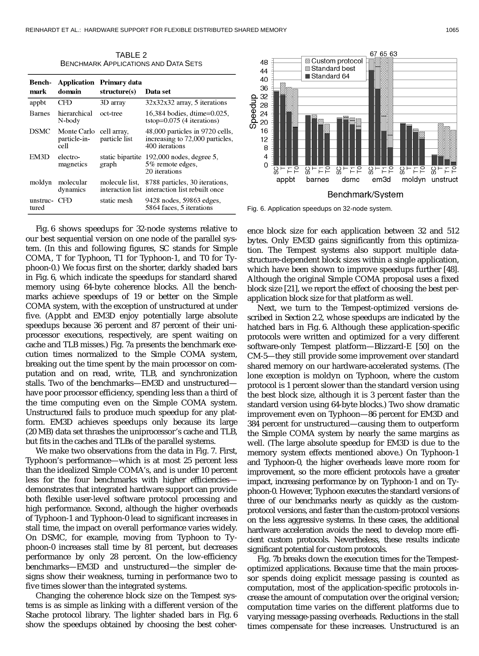TABLE 2 BENCHMARK APPLICATIONS AND DATA SETS

| Bench-<br>mark        | domain                              | Application Primary data<br>structure(s) | Data set                                                                             |
|-----------------------|-------------------------------------|------------------------------------------|--------------------------------------------------------------------------------------|
| appbt                 | CFD                                 | 3D array                                 | $32x32x32$ array, 5 iterations                                                       |
| Barnes                | hierarchical<br>N-body              | oct-tree                                 | 16,384 bodies, dtime=0.025,<br>$tstop=0.075$ (4 iterations)                          |
| <b>DSMC</b>           | Monte Carlo<br>particle-in-<br>cell | cell array.<br>particle list             | 48,000 particles in 9720 cells,<br>increasing to 72,000 particles.<br>400 iterations |
| EM3D                  | electro-<br>magnetics               | graph                                    | static bipartite 192,000 nodes, degree 5,<br>5% remote edges,<br>20 iterations       |
| moldyn                | molecular<br>dynamics               | molecule list.                           | 8788 particles, 30 iterations,<br>interaction list interaction list rebuilt once     |
| unstruc- CFD<br>tured |                                     | static mesh                              | 9428 nodes, 59863 edges,<br>5864 faces, 5 iterations                                 |

Fig. 6 shows speedups for 32-node systems relative to our best sequential version on one node of the parallel system. (In this and following figures, SC stands for Simple COMA, T for Typhoon, T1 for Typhoon-1, and T0 for Typhoon-0.) We focus first on the shorter, darkly shaded bars in Fig. 6, which indicate the speedups for standard shared memory using 64-byte coherence blocks. All the benchmarks achieve speedups of 19 or better on the Simple COMA system, with the exception of unstructured at under five. (Appbt and EM3D enjoy potentially large absolute speedups because 36 percent and 87 percent of their uniprocessor executions, respectively, are spent waiting on cache and TLB misses.) Fig. 7a presents the benchmark execution times normalized to the Simple COMA system, breaking out the time spent by the main processor on computation and on read, write, TLB, and synchronization stalls. Two of the benchmarks—EM3D and unstructured have poor processor efficiency, spending less than a third of the time computing even on the Simple COMA system. Unstructured fails to produce much speedup for any platform. EM3D achieves speedups only because its large (20 MB) data set thrashes the uniprocessor's cache and TLB, but fits in the caches and TLBs of the parallel systems.

We make two observations from the data in Fig. 7. First, Typhoon's performance—which is at most 25 percent less than the idealized Simple COMA's, and is under 10 percent less for the four benchmarks with higher efficiencies demonstrates that integrated hardware support can provide both flexible user-level software protocol processing and high performance. Second, although the higher overheads of Typhoon-1 and Typhoon-0 lead to significant increases in stall time, the impact on overall performance varies widely. On DSMC, for example, moving from Typhoon to Typhoon-0 increases stall time by 81 percent, but decreases performance by only 28 percent. On the low-efficiency benchmarks—EM3D and unstructured—the simpler designs show their weakness, turning in performance two to five times slower than the integrated systems.

Changing the coherence block size on the Tempest systems is as simple as linking with a different version of the Stache protocol library. The lighter shaded bars in Fig. 6 show the speedups obtained by choosing the best coher-



Fig. 6. Application speedups on 32-node system.

ence block size for each application between 32 and 512 bytes. Only EM3D gains significantly from this optimization. The Tempest systems also support multiple datastructure-dependent block sizes within a single application, which have been shown to improve speedups further [48]. Although the original Simple COMA proposal uses a fixed block size [21], we report the effect of choosing the best perapplication block size for that platform as well.

Next, we turn to the Tempest-optimized versions described in Section 2.2, whose speedups are indicated by the hatched bars in Fig. 6. Although these application-specific protocols were written and optimized for a very different software-only Tempest platform—Blizzard-E [50] on the CM-5—they still provide some improvement over standard shared memory on our hardware-accelerated systems. (The lone exception is moldyn on Typhoon, where the custom protocol is 1 percent slower than the standard version using the best block size, although it is 3 percent faster than the standard version using 64-byte blocks.) Two show dramatic improvement even on Typhoon—86 percent for EM3D and 384 percent for unstructured—causing them to outperform the Simple COMA system by nearly the same margins as well. (The large absolute speedup for EM3D is due to the memory system effects mentioned above.) On Typhoon-1 and Typhoon-0, the higher overheads leave more room for improvement, so the more efficient protocols have a greater impact, increasing performance by on Typhoon-1 and on Typhoon-0. However, Typhoon executes the standard versions of three of our benchmarks nearly as quickly as the customprotocol versions, and faster than the custom-protocol versions on the less aggressive systems. In these cases, the additional hardware acceleration avoids the need to develop more efficient custom protocols. Nevertheless, these results indicate significant potential for custom protocols.

Fig. 7b breaks down the execution times for the Tempestoptimized applications. Because time that the main processor spends doing explicit message passing is counted as computation, most of the application-specific protocols increase the amount of computation over the original version; computation time varies on the different platforms due to varying message-passing overheads. Reductions in the stall times compensate for these increases. Unstructured is an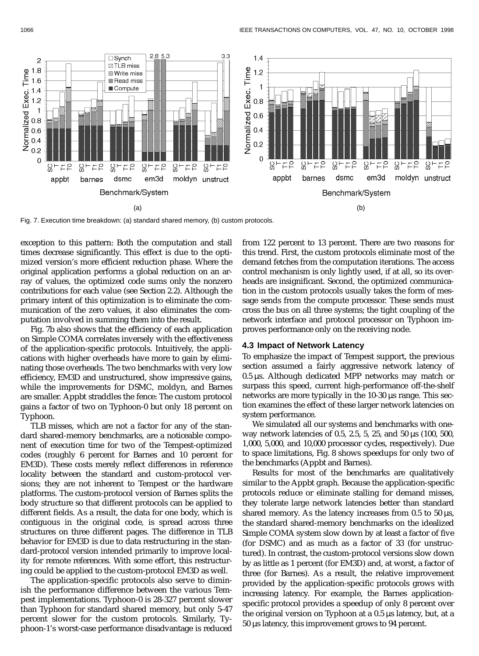

Fig. 7. Execution time breakdown: (a) standard shared memory, (b) custom protocols.

exception to this pattern: Both the computation and stall times decrease significantly. This effect is due to the optimized version's more efficient reduction phase. Where the original application performs a global reduction on an array of values, the optimized code sums only the nonzero contributions for each value (see Section 2.2). Although the primary intent of this optimization is to eliminate the communication of the zero values, it also eliminates the computation involved in summing them into the result.

Fig. 7b also shows that the efficiency of each application on Simple COMA correlates inversely with the effectiveness of the application-specific protocols. Intuitively, the applications with higher overheads have more to gain by eliminating those overheads. The two benchmarks with very low efficiency, EM3D and unstructured, show impressive gains, while the improvements for DSMC, moldyn, and Barnes are smaller. Appbt straddles the fence: The custom protocol gains a factor of two on Typhoon-0 but only 18 percent on Typhoon.

TLB misses, which are not a factor for any of the standard shared-memory benchmarks, are a noticeable component of execution time for two of the Tempest-optimized codes (roughly 6 percent for Barnes and 10 percent for EM3D). These costs merely reflect differences in reference locality between the standard and custom-protocol versions; they are not inherent to Tempest or the hardware platforms. The custom-protocol version of Barnes splits the body structure so that different protocols can be applied to different fields. As a result, the data for one body, which is contiguous in the original code, is spread across three structures on three different pages. The difference in TLB behavior for EM3D is due to data restructuring in the standard-protocol version intended primarily to improve locality for remote references. With some effort, this restructuring could be applied to the custom-protocol EM3D as well.

The application-specific protocols also serve to diminish the performance difference between the various Tempest implementations. Typhoon-0 is 28-327 percent slower than Typhoon for standard shared memory, but only 5-47 percent slower for the custom protocols. Similarly, Typhoon-1's worst-case performance disadvantage is reduced from 122 percent to 13 percent. There are two reasons for this trend. First, the custom protocols eliminate most of the demand fetches from the computation iterations. The access control mechanism is only lightly used, if at all, so its overheads are insignificant. Second, the optimized communication in the custom protocols usually takes the form of message sends from the compute processor. These sends must cross the bus on all three systems; the tight coupling of the network interface and protocol processor on Typhoon improves performance only on the receiving node.

## **4.3 Impact of Network Latency**

To emphasize the impact of Tempest support, the previous section assumed a fairly aggressive network latency of 0.5 µs. Although dedicated MPP networks may match or surpass this speed, current high-performance off-the-shelf networks are more typically in the 10-30 µs range. This section examines the effect of these larger network latencies on system performance.

We simulated all our systems and benchmarks with oneway network latencies of 0.5, 2.5, 5, 25, and 50 µs (100, 500, 1,000, 5,000, and 10,000 processor cycles, respectively). Due to space limitations, Fig. 8 shows speedups for only two of the benchmarks (Appbt and Barnes).

Results for most of the benchmarks are qualitatively similar to the Appbt graph. Because the application-specific protocols reduce or eliminate stalling for demand misses, they tolerate large network latencies better than standard shared memory. As the latency increases from 0.5 to 50  $\mu$ s, the standard shared-memory benchmarks on the idealized Simple COMA system slow down by at least a factor of five (for DSMC) and as much as a factor of 33 (for unstructured). In contrast, the custom-protocol versions slow down by as little as 1 percent (for EM3D) and, at worst, a factor of three (for Barnes). As a result, the relative improvement provided by the application-specific protocols grows with increasing latency. For example, the Barnes applicationspecific protocol provides a speedup of only 8 percent over the original version on Typhoon at a 0.5 µs latency, but, at a 50 µs latency, this improvement grows to 94 percent.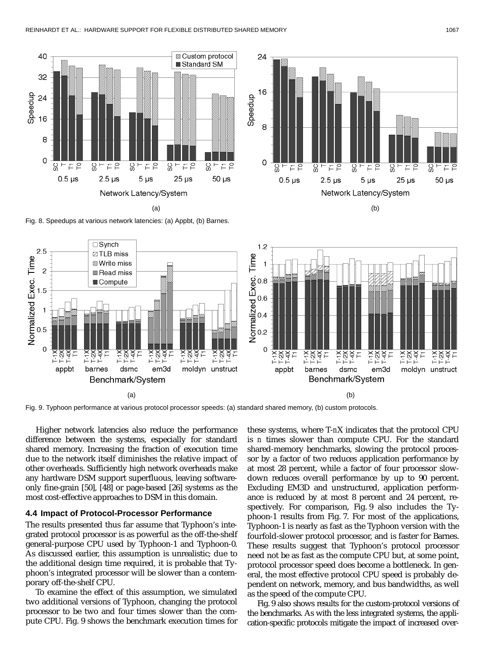

Fig. 8. Speedups at various network latencies: (a) Appbt, (b) Barnes.



24

16

8

 $\Omega$ 

ပ္က

 $F^{\circ}$ 

 $0.5 \,\mu s$ 

SC

 $F P$ 

 $2.5 \,\mu s$ 

ပ္က

P

F.

 $5 \mu s$ Network Latency/System

ပ္က

 $25 \mu s$ 

speedup

Fig. 9. Typhoon performance at various protocol processor speeds: (a) standard shared memory, (b) custom protocols.

Higher network latencies also reduce the performance difference between the systems, especially for standard shared memory. Increasing the fraction of execution time due to the network itself diminishes the relative impact of other overheads. Sufficiently high network overheads make any hardware DSM support superfluous, leaving softwareonly fine-grain [50], [48] or page-based [26] systems as the most cost-effective approaches to DSM in this domain.

## **4.4 Impact of Protocol-Processor Performance**

The results presented thus far assume that Typhoon's integrated protocol processor is as powerful as the off-the-shelf general-purpose CPU used by Typhoon-1 and Typhoon-0. As discussed earlier, this assumption is unrealistic; due to the additional design time required, it is probable that Typhoon's integrated processor will be slower than a contemporary off-the-shelf CPU.

To examine the effect of this assumption, we simulated two additional versions of Typhoon, changing the protocol processor to be two and four times slower than the compute CPU. Fig. 9 shows the benchmark execution times for these systems, where T-*n*X indicates that the protocol CPU is *n* times slower than compute CPU. For the standard shared-memory benchmarks, slowing the protocol processor by a factor of two reduces application performance by at most 28 percent, while a factor of four processor slowdown reduces overall performance by up to 90 percent. Excluding EM3D and unstructured, application performance is reduced by at most 8 percent and 24 percent, respectively. For comparison, Fig. 9 also includes the Typhoon-1 results from Fig. 7. For most of the applications, Typhoon-1 is nearly as fast as the Typhoon version with the fourfold-slower protocol processor, and is faster for Barnes. These results suggest that Typhoon's protocol processor need not be as fast as the compute CPU but, at some point, protocol processor speed does become a bottleneck. In general, the most effective protocol CPU speed is probably dependent on network, memory, and bus bandwidths, as well as the speed of the compute CPU.

Fig. 9 also shows results for the custom-protocol versions of the benchmarks. As with the less integrated systems, the application-specific protocols mitigate the impact of increased over-

 $50 \mu s$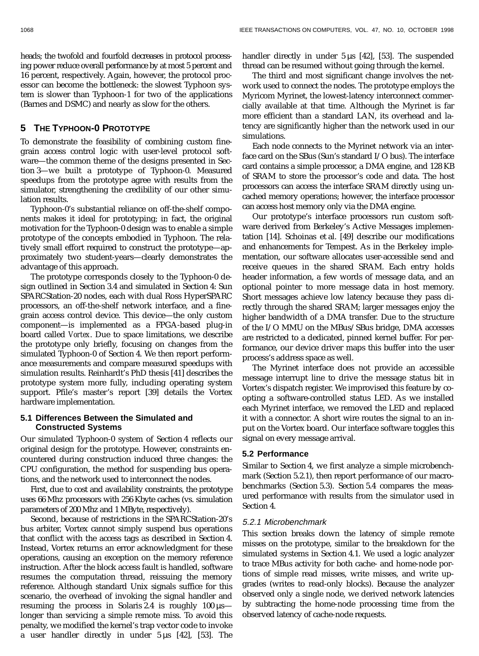heads; the twofold and fourfold decreases in protocol processing power reduce overall performance by at most 5 percent and 16 percent, respectively. Again, however, the protocol processor can become the bottleneck: the slowest Typhoon system is slower than Typhoon-1 for two of the applications (Barnes and DSMC) and nearly as slow for the others.

# **5 THE TYPHOON-0 PROTOTYPE**

To demonstrate the feasibility of combining custom finegrain access control logic with user-level protocol software—the common theme of the designs presented in Section 3—we built a prototype of Typhoon-0. Measured speedups from the prototype agree with results from the simulator, strengthening the credibility of our other simulation results.

Typhoon-0's substantial reliance on off-the-shelf components makes it ideal for prototyping; in fact, the original motivation for the Typhoon-0 design was to enable a simple prototype of the concepts embodied in Typhoon. The relatively small effort required to construct the prototype—approximately two student-years—clearly demonstrates the advantage of this approach.

The prototype corresponds closely to the Typhoon-0 design outlined in Section 3.4 and simulated in Section 4: Sun SPARCStation-20 nodes, each with dual Ross HyperSPARC processors, an off-the-shelf network interface, and a finegrain access control device. This device—the only custom component—is implemented as a FPGA-based plug-in board called *Vortex*. Due to space limitations, we describe the prototype only briefly, focusing on changes from the simulated Typhoon-0 of Section 4. We then report performance measurements and compare measured speedups with simulation results. Reinhardt's PhD thesis [41] describes the prototype system more fully, including operating system support. Pfile's master's report [39] details the Vortex hardware implementation.

# **5.1 Differences Between the Simulated and Constructed Systems**

Our simulated Typhoon-0 system of Section 4 reflects our original design for the prototype. However, constraints encountered during construction induced three changes: the CPU configuration, the method for suspending bus operations, and the network used to interconnect the nodes.

First, due to cost and availability constraints, the prototype uses 66 Mhz processors with 256 Kbyte caches (vs. simulation parameters of 200 Mhz and 1 MByte, respectively).

Second, because of restrictions in the SPARCStation-20's bus arbiter, Vortex cannot simply suspend bus operations that conflict with the access tags as described in Section 4. Instead, Vortex returns an error acknowledgment for these operations, causing an exception on the memory reference instruction. After the block access fault is handled, software resumes the computation thread, reissuing the memory reference. Although standard Unix signals suffice for this scenario, the overhead of invoking the signal handler and resuming the process in Solaris 2.4 is roughly 100  $\mu$ slonger than servicing a simple remote miss. To avoid this penalty, we modified the kernel's trap vector code to invoke a user handler directly in under  $5 \mu s$  [42], [53]. The

handler directly in under 5 µs [42], [53]. The suspended thread can be resumed without going through the kernel.

The third and most significant change involves the network used to connect the nodes. The prototype employs the Myricom Myrinet, the lowest-latency interconnect commercially available at that time. Although the Myrinet is far more efficient than a standard LAN, its overhead and latency are significantly higher than the network used in our simulations.

Each node connects to the Myrinet network via an interface card on the SBus (Sun's standard I/O bus). The interface card contains a simple processor, a DMA engine, and 128 KB of SRAM to store the processor's code and data. The host processors can access the interface SRAM directly using uncached memory operations; however, the interface processor can access host memory only via the DMA engine.

Our prototype's interface processors run custom software derived from Berkeley's Active Messages implementation [14]. Schoinas et al. [49] describe our modifications and enhancements for Tempest. As in the Berkeley implementation, our software allocates user-accessible send and receive queues in the shared SRAM. Each entry holds header information, a few words of message data, and an optional pointer to more message data in host memory. Short messages achieve low latency because they pass directly through the shared SRAM; larger messages enjoy the higher bandwidth of a DMA transfer. Due to the structure of the I/O MMU on the MBus/SBus bridge, DMA accesses are restricted to a dedicated, pinned kernel buffer. For performance, our device driver maps this buffer into the user process's address space as well.

The Myrinet interface does not provide an accessible message interrupt line to drive the message status bit in Vortex's dispatch register. We improvised this feature by coopting a software-controlled status LED. As we installed each Myrinet interface, we removed the LED and replaced it with a connector. A short wire routes the signal to an input on the Vortex board. Our interface software toggles this signal on every message arrival.

# **5.2 Performance**

Similar to Section 4, we first analyze a simple microbenchmark (Section 5.2.1), then report performance of our macrobenchmarks (Section 5.3). Section 5.4 compares the measured performance with results from the simulator used in Section 4.

## 5.2.1 Microbenchmark

This section breaks down the latency of simple remote misses on the prototype, similar to the breakdown for the simulated systems in Section 4.1. We used a logic analyzer to trace MBus activity for both cache- and home-node portions of simple read misses, write misses, and write upgrades (writes to read-only blocks). Because the analyzer observed only a single node, we derived network latencies by subtracting the home-node processing time from the observed latency of cache-node requests.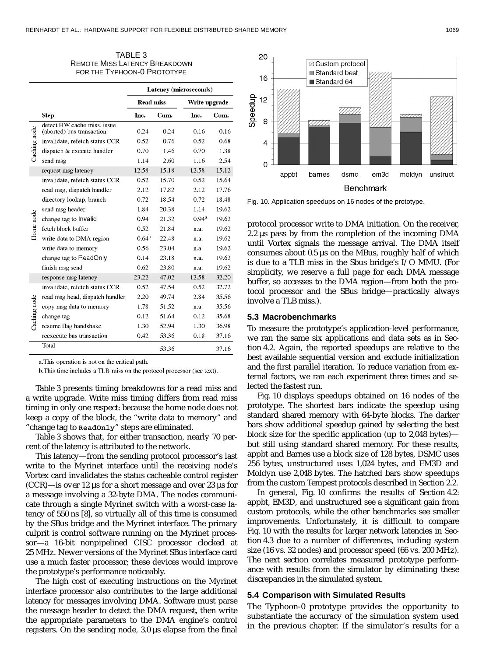| TABLE 3                              |
|--------------------------------------|
| <b>REMOTE MISS LATENCY BREAKDOWN</b> |
| FOR THE TYPHOON-0 PROTOTYPE          |

|              |                                                          | Latency (microseconds) |       |                |       |
|--------------|----------------------------------------------------------|------------------------|-------|----------------|-------|
|              |                                                          | <b>Read miss</b>       |       | Write upgrade  |       |
|              | <b>Step</b>                                              | Inc.                   | Cum.  | Inc.           | Cum.  |
| Caching node | detect HW cache miss, issue<br>(aborted) bus transaction | 0.24                   | 0.24  | 0.16           | 0.16  |
|              | invalidate, refetch status CCR                           | 0.52                   | 0.76  | 0.52           | 0.68  |
|              | dispatch & execute handler                               | 0.70                   | 1.46  | 0.70           | 1.38  |
|              | send msg                                                 | 1.14                   | 2.60  | 1.16           | 2.54  |
|              | request msg latency                                      | 12.58                  | 15.18 | 12.58          | 15.12 |
|              | invalidate, refetch status CCR                           | 0.52                   | 15.70 | 0.52           | 15.64 |
|              | read msg, dispatch handler                               | 2.12                   | 17.82 | 2.12           | 17.76 |
|              | directory lookup, branch                                 | 0.72                   | 18.54 | 0.72           | 18.48 |
|              | send msg header                                          | 1.84                   | 20.38 | 1.14           | 19.62 |
| Home node    | change tag to Invalid                                    | 0.94                   | 21.32 | $0.94^{\rm a}$ | 19.62 |
|              | fetch block buffer                                       | 0.52                   | 21.84 | n.a.           | 19.62 |
|              | write data to DMA region                                 | $0.64^b$               | 22.48 | n.a.           | 19.62 |
|              | write data to memory                                     | 0.56                   | 23.04 | n.a.           | 19.62 |
|              | change tag to ReadOnly                                   | 0.14                   | 23.18 | n.a.           | 19.62 |
|              | finish msg send                                          | 0.62                   | 23.80 | n.a.           | 19.62 |
|              | response msg latency                                     | 23.22                  | 47.02 | 12.58          | 32.20 |
|              | invalidate, refetch status CCR                           | 0.52                   | 47.54 | 0.52           | 32.72 |
|              | read msg head, dispatch handler                          | 2.20                   | 49.74 | 2.84           | 35.56 |
| Caching node | copy msg data to memory                                  | 1.78                   | 51.52 | n.a.           | 35.56 |
|              | change tag                                               | 0.12                   | 51.64 | 0.12           | 35.68 |
|              | resume flag handshake                                    | 1.30                   | 52.94 | 1.30           | 36.98 |
|              | reexecute bus transaction                                | 0.42                   | 53.36 | 0.18           | 37.16 |
|              | Total                                                    |                        | 53.36 |                | 37.16 |

a. This operation is not on the critical path.

b. This time includes a TLB miss on the protocol processor (see text).

Table 3 presents timing breakdowns for a read miss and a write upgrade. Write miss timing differs from read miss timing in only one respect: because the home node does not keep a copy of the block, the "write data to memory" and "change tag to ReadOnly" steps are eliminated.

Table 3 shows that, for either transaction, nearly 70 percent of the latency is attributed to the network.

This latency—from the sending protocol processor's last write to the Myrinet interface until the receiving node's Vortex card invalidates the status cacheable control register (CCR)—is over 12 µs for a short message and over 23 µs for a message involving a 32-byte DMA. The nodes communicate through a single Myrinet switch with a worst-case latency of 550 ns [8], so virtually all of this time is consumed by the SBus bridge and the Myrinet interface. The primary culprit is control software running on the Myrinet processor—a 16-bit nonpipelined CISC processor clocked at 25 MHz. Newer versions of the Myrinet SBus interface card use a much faster processor; these devices would improve the prototype's performance noticeably.

The high cost of executing instructions on the Myrinet interface processor also contributes to the large additional latency for messages involving DMA. Software must parse the message header to detect the DMA request, then write the appropriate parameters to the DMA engine's control registers. On the sending node, 3.0 µs elapse from the final



Fig. 10. Application speedups on 16 nodes of the prototype.

protocol processor write to DMA initiation. On the receiver, 2.2 µs pass by from the completion of the incoming DMA until Vortex signals the message arrival. The DMA itself consumes about 0.5 µs on the MBus, roughly half of which is due to a TLB miss in the Sbus bridge's I/O MMU. (For simplicity, we reserve a full page for each DMA message buffer, so accesses to the DMA region—from both the protocol processor and the SBus bridge—practically always involve a TLB miss.).

## **5.3 Macrobenchmarks**

To measure the prototype's application-level performance, we ran the same six applications and data sets as in Section 4.2. Again, the reported speedups are relative to the best available sequential version and exclude initialization and the first parallel iteration. To reduce variation from external factors, we ran each experiment three times and selected the fastest run.

Fig. 10 displays speedups obtained on 16 nodes of the prototype. The shortest bars indicate the speedup using standard shared memory with 64-byte blocks. The darker bars show additional speedup gained by selecting the best block size for the specific application (up to 2,048 bytes) but still using standard shared memory. For these results, appbt and Barnes use a block size of 128 bytes, DSMC uses 256 bytes, unstructured uses 1,024 bytes, and EM3D and Moldyn use 2,048 bytes. The hatched bars show speedups from the custom Tempest protocols described in Section 2.2.

In general, Fig. 10 confirms the results of Section 4.2: appbt, EM3D, and unstructured see a significant gain from custom protocols, while the other benchmarks see smaller improvements. Unfortunately, it is difficult to compare Fig. 10 with the results for larger network latencies in Section 4.3 due to a number of differences, including system size (16 vs. 32 nodes) and processor speed (66 vs. 200 MHz). The next section correlates measured prototype performance with results from the simulator by eliminating these discrepancies in the simulated system.

#### **5.4 Comparison with Simulated Results**

The Typhoon-0 prototype provides the opportunity to substantiate the accuracy of the simulation system used in the previous chapter. If the simulator's results for a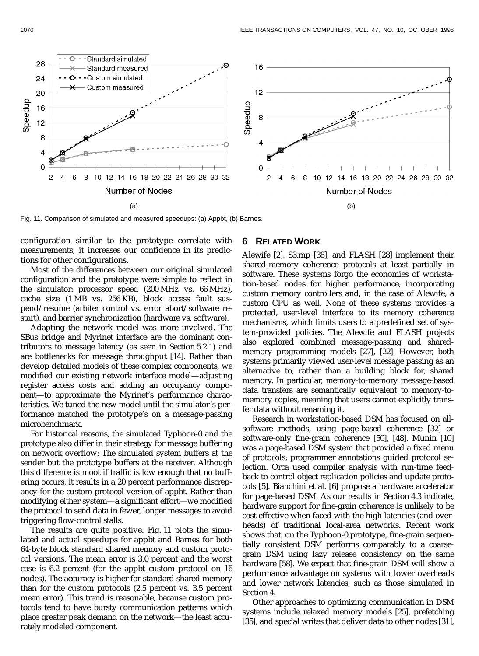

Fig. 11. Comparison of simulated and measured speedups: (a) Appbt, (b) Barnes.

configuration similar to the prototype correlate with measurements, it increases our confidence in its predictions for other configurations.

Most of the differences between our original simulated configuration and the prototype were simple to reflect in the simulator: processor speed (200 MHz vs. 66 MHz), cache size (1 MB vs. 256 KB), block access fault suspend/resume (arbiter control vs. error abort/software restart), and barrier synchronization (hardware vs. software).

Adapting the network model was more involved. The SBus bridge and Myrinet interface are the dominant contributors to message latency (as seen in Section 5.2.1) and are bottlenecks for message throughput [14]. Rather than develop detailed models of these complex components, we modified our existing network interface model—adjusting register access costs and adding an occupancy component—to approximate the Myrinet's performance characteristics. We tuned the new model until the simulator's performance matched the prototype's on a message-passing microbenchmark.

For historical reasons, the simulated Typhoon-0 and the prototype also differ in their strategy for message buffering on network overflow: The simulated system buffers at the sender but the prototype buffers at the receiver. Although this difference is moot if traffic is low enough that no buffering occurs, it results in a 20 percent performance discrepancy for the custom-protocol version of appbt. Rather than modifying either system—a significant effort—we modified the protocol to send data in fewer, longer messages to avoid triggering flow-control stalls.

The results are quite positive. Fig. 11 plots the simulated and actual speedups for appbt and Barnes for both 64-byte block standard shared memory and custom protocol versions. The mean error is 3.0 percent and the worst case is 6.2 percent (for the appbt custom protocol on 16 nodes). The accuracy is higher for standard shared memory than for the custom protocols (2.5 percent vs. 3.5 percent mean error). This trend is reasonable, because custom protocols tend to have bursty communication patterns which place greater peak demand on the network—the least accurately modeled component.

# **6 RELATED WORK**

Alewife [2], S3.mp [38], and FLASH [28] implement their shared-memory coherence protocols at least partially in software. These systems forgo the economies of workstation-based nodes for higher performance, incorporating custom memory controllers and, in the case of Alewife, a custom CPU as well. None of these systems provides a protected, user-level interface to its memory coherence mechanisms, which limits users to a predefined set of system-provided policies. The Alewife and FLASH projects also explored combined message-passing and sharedmemory programming models [27], [22]. However, both systems primarily viewed user-level message passing as an alternative to, rather than a building block for, shared memory. In particular, memory-to-memory message-based data transfers are semantically equivalent to memory-tomemory copies, meaning that users cannot explicitly transfer data without renaming it.

Research in workstation-based DSM has focused on allsoftware methods, using page-based coherence [32] or software-only fine-grain coherence [50], [48]. Munin [10] was a page-based DSM system that provided a fixed menu of protocols; programmer annotations guided protocol selection. Orca used compiler analysis with run-time feedback to control object replication policies and update protocols [5]. Bianchini et al. [6] propose a hardware accelerator for page-based DSM. As our results in Section 4.3 indicate, hardware support for fine-grain coherence is unlikely to be cost effective when faced with the high latencies (and overheads) of traditional local-area networks. Recent work shows that, on the Typhoon-0 prototype, fine-grain sequentially consistent DSM performs comparably to a coarsegrain DSM using lazy release consistency on the same hardware [58]. We expect that fine-grain DSM will show a performance advantage on systems with lower overheads and lower network latencies, such as those simulated in Section 4.

Other approaches to optimizing communication in DSM systems include relaxed memory models [25], prefetching [35], and special writes that deliver data to other nodes [31],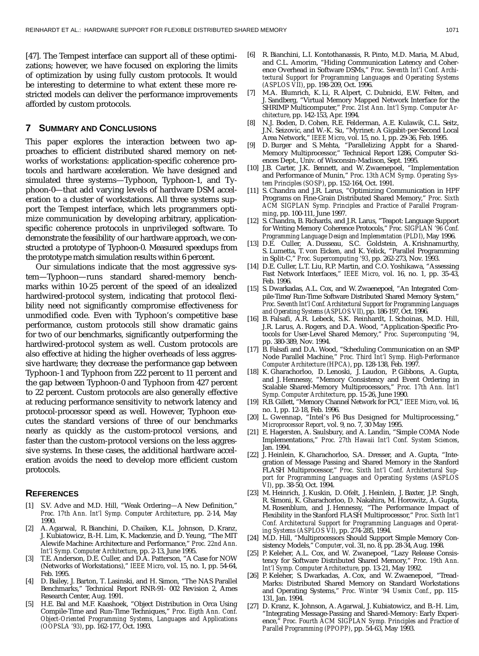[47]. The Tempest interface can support all of these optimizations; however, we have focused on exploring the limits of optimization by using fully custom protocols. It would be interesting to determine to what extent these more restricted models can deliver the performance improvements afforded by custom protocols.

## **7 SUMMARY AND CONCLUSIONS**

This paper explores the interaction between two approaches to efficient distributed shared memory on networks of workstations: application-specific coherence protocols and hardware acceleration. We have designed and simulated three systems—Typhoon, Typhoon-1, and Typhoon-0—that add varying levels of hardware DSM acceleration to a cluster of workstations. All three systems support the Tempest interface, which lets programmers optimize communication by developing arbitrary, applicationspecific coherence protocols in unprivileged software. To demonstrate the feasibility of our hardware approach, we constructed a prototype of Typhoon-0. Measured speedups from the prototype match simulation results within 6 percent.

Our simulations indicate that the most aggressive system—Typhoon—runs standard shared-memory benchmarks within 10-25 percent of the speed of an idealized hardwired-protocol system, indicating that protocol flexibility need not significantly compromise effectiveness for unmodified code. Even with Typhoon's competitive base performance, custom protocols still show dramatic gains for two of our benchmarks, significantly outperforming the hardwired-protocol system as well. Custom protocols are also effective at hiding the higher overheads of less aggressive hardware; they decrease the performance gap between Typhoon-1 and Typhoon from 222 percent to 11 percent and the gap between Typhoon-0 and Typhoon from 427 percent to 22 percent. Custom protocols are also generally effective at reducing performance sensitivity to network latency and protocol-processor speed as well. However, Typhoon executes the standard versions of three of our benchmarks nearly as quickly as the custom-protocol versions, and faster than the custom-protocol versions on the less aggressive systems. In these cases, the additional hardware acceleration avoids the need to develop more efficient custom protocols.

#### **REFERENCES**

- [1] S.V. Adve and M.D. Hill, "Weak Ordering—A New Definition," *Proc. 17th Ann. Int'l Symp. Computer Architecture*, pp. 2-14, May 1990.
- [2] A. Agarwal, R. Bianchini, D. Chaiken, K.L. Johnson, D. Kranz, J. Kubiatowicz, B.-H. Lim, K. Mackenzie, and D. Yeung, "The MIT Alewife Machine: Architecture and Performance," *Proc. 22nd Ann. Int'l Symp. Computer Architecture*, pp. 2-13, June 1995.
- [3] T.E. Anderson, D.E. Culler, and D.A. Patterson, "A Case for NOW (Networks of Workstations)," *IEEE Micro*, vol. 15, no. 1, pp. 54-64, Feb. 1995.
- [4] D. Bailey, J. Barton, T. Lasinski, and H. Simon, "The NAS Parallel Benchmarks," Technical Report RNR-91- 002 Revision 2, Ames Research Center, Aug. 1991.
- [5] H.E. Bal and M.F. Kaashoek, "Object Distribution in Orca Using Compile-Time and Run-Time Techniques," *Proc. Eigth Ann. Conf. Object-Oriented Programming Systems, Languages and Applications (OOPSLA '93)*, pp. 162-177, Oct. 1993.
- [6] R. Bianchini, L.I. Kontothanassis, R. Pinto, M.D. Maria, M. Abud, and C.L. Amorim, "Hiding Communication Latency and Coherence Overhead in Software DSMs," *Proc. Seventh Int'l Conf. Architectural Support for Programming Languages and Operating Systems (ASPLOS VII)*, pp. 198-209, Oct. 1996.
- [7] M.A. Blumrich, K. Li, R. Alpert, C. Dubnicki, E.W. Felten, and J. Sandberg, "Virtual Memory Mapped Network Interface for the SHRIMP Multicomputer," *Proc. 21st Ann. Int'l Symp. Computer Architecture*, pp. 142-153, Apr. 1994.
- [8] N.J. Boden, D. Cohen, R.E. Felderman, A.E. Kulawik, C.L. Seitz, J.N. Seizovic, and W.-K. Su, "Myrinet: A Gigabit-per-Second Local Area Network," *IEEE Micro*, vol. 15, no. 1, pp. 29-36, Feb. 1995.
- [9] D. Burger and S. Mehta, "Parallelizing Appbt for a Shared-Memory Multiprocessor," Technical Report 1286, Computer Sciences Dept., Univ. of Wisconsin-Madison, Sept. 1995.
- [10] J.B. Carter, J.K. Bennett, and W. Zwaenepoel, "Implementation and Performance of Munin," *Proc. 13th ACM Symp. Operating System Principles (SOSP)*, pp. 152-164, Oct. 1991.
- [11] S. Chandra and J.R. Larus, "Optimizing Communication in HPF Programs on Fine-Grain Distributed Shared Memory," *Proc. Sixth ACM SIGPLAN Symp. Principles and Practice of Parallel Programming*, pp. 100-111, June 1997.
- [12] S. Chandra, B. Richards, and J.R. Larus, "Teapot: Language Support for Writing Memory Coherence Protocols," *Proc. SIGPLAN '96 Conf. Programming Language Design and Implementation (PLDI)*, May 1996.
- [13] D.E. Culler, A. Dusseau, S.C. Goldstein, A. Krishnamurthy, S. Lumetta, T. von Eicken, and K. Yelick, "Parallel Programming in Split-C," *Proc. Supercomputing '93*, pp. 262-273, Nov. 1993.
- [14] D.E. Culler, L.T. Liu, R.P. Martin, and C.O. Yoshikawa, "Assessing Fast Network Interfaces," *IEEE Micro*, vol. 16, no. 1, pp. 35-43, Feb. 1996.
- [15] S. Dwarkadas, A.L. Cox, and W. Zwaenepoel, "An Integrated Compile-Time/Run-Time Software Distributed Shared Memory System,' *Proc. Seventh Int'l Conf. Architectural Support for Programming Languages and Operating Systems (ASPLOS VII)*, pp. 186-197, Oct. 1996.
- [16] B. Falsafi, A.R. Lebeck, S.K. Reinhardt, I. Schoinas, M.D. Hill, J.R. Larus, A. Rogers, and D.A. Wood, "Application-Specific Protocols for User-Level Shared Memory," *Proc. Supercomputing '94*, pp. 380-389, Nov. 1994.
- [17] B. Falsafi and D.A. Wood, "Scheduling Communication on an SMP Node Parallel Machine," *Proc. Third Int'l Symp. High-Performance Computer Architecture (HPCA)*, pp. 128-138, Feb. 1997.
- [18] K. Gharachorloo, D. Lenoski, J. Laudon, P. Gibbons, A. Gupta, and J. Hennessy, "Memory Consistency and Event Ordering in Scalable Shared-Memory Multiprocessors," *Proc. 17th Ann. Int'l Symp. Computer Architecture*, pp. 15-26, June 1990.
- [19] R.B. Gillett, "Memory Channel Network for PCI," *IEEE Micro*, vol. 16, no. 1, pp. 12-18, Feb. 1996.
- L. Gwennap, "Intel's P6 Bus Designed for Multiprocessing," *Microprocessor Report*, vol. 9, no. 7, 30 May 1995.
- [21] E. Hagersten, A. Saulsbury, and A. Landin, "Simple COMA Node Implementations," *Proc. 27th Hawaii Int'l Conf. System Sciences*, Jan. 1994.
- [22] J. Heinlein, K. Gharachorloo, S.A. Dresser, and A. Gupta, "Integration of Message Passing and Shared Memory in the Stanford FLASH Multiprocessor," *Proc. Sixth Int'l Conf. Architectural Support for Programming Languages and Operating Systems (ASPLOS VI)*, pp. 38-50, Oct. 1994.
- [23] M. Heinrich, J. Kuskin, D. Ofelt, J. Heinlein, J. Baxter, J.P. Singh, R. Simoni, K. Gharachorloo, D. Nakahira, M. Horowitz, A. Gupta, M. Rosenblum, and J. Hennessy, "The Performance Impact of Flexibility in the Stanford FLASH Multiprocessor," *Proc. Sixth Int'l Conf. Architectural Support for Programming Languages and Operating Systems (ASPLOS VI)*, pp. 274-285, 1994.
- [24] M.D. Hill, "Multiprocessors Should Support Simple Memory Consistency Models," *Computer*, vol. 31, no. 8, pp. 28-34, Aug. 1998.
- [25] P. Keleher, A.L. Cox, and W. Zwanepoel, "Lazy Release Consistency for Software Distributed Shared Memory," *Proc. 19th Ann. Int'l Symp. Computer Architecture*, pp. 13-21, May 1992.
- [26] P. Keleher, S. Dwarkadas, A. Cox, and W. Zwaenepoel, "Tread-Marks: Distributed Shared Memory on Standard Workstations and Operating Systems," *Proc. Winter '94 Usenix Conf.*, pp. 115- 131, Jan. 1994.
- [27] D. Kranz, K. Johnson, A. Agarwal, J. Kubiatowicz, and B.-H. Lim, "Integrating Message-Passing and Shared-Memory: Early Experience," *Proc. Fourth ACM SIGPLAN Symp. Principles and Practice of Parallel Programming (PPOPP)*, pp. 54-63, May 1993.